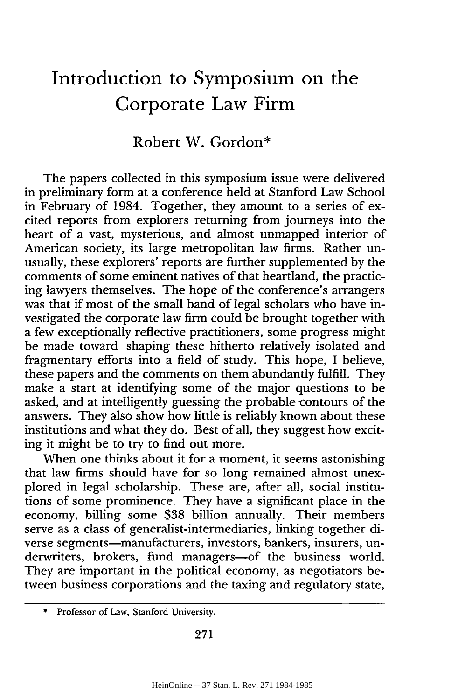## **Introduction to Symposium on the Corporate Law Firm**

## Robert W. Gordon\*

The papers collected in this symposium issue were delivered in preliminary form at a conference held at Stanford Law School in February of 1984. Together, they amount to a series of excited reports from explorers returning from journeys into the heart of a vast, mysterious, and almost unmapped interior of American society, its large metropolitan law firms. Rather unusually, these explorers' reports are further supplemented by the comments of some eminent natives of that heartland, the practicing lawyers themselves. The hope of the conference's arrangers was that if most of the small band of legal scholars who have investigated the corporate law firm could be brought together with a few exceptionally reflective practitioners, some progress might be made toward shaping these hitherto relatively isolated and fragmentary efforts into a field of study. This hope, I believe, these papers and the comments on them abundantly fulfill. They make a start at identifying some of the major questions to be asked, and at intelligently guessing the probable-contours of the answers. They also show how little is reliably known about these institutions and what they do. Best of all, they suggest how exciting it might be to try to find out more.

When one thinks about it for a moment, it seems astonishing that law firms should have for so long remained almost unexplored in legal scholarship. These are, after all, social institutions of some prominence. They have a significant place in the economy, billing some \$38 billion annually. Their members serve as a class of generalist-intermediaries, linking together diverse segments-manufacturers, investors, bankers, insurers, underwriters, brokers, fund managers-of the business world. They are important in the political economy, as negotiators between business corporations and the taxing and regulatory state,

Professor of Law, Stanford University.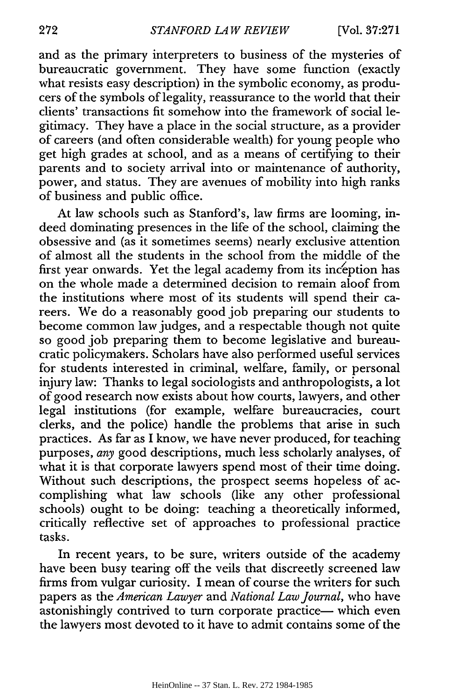and as the primary interpreters to business of the mysteries of bureaucratic government. They have some function (exactly what resists easy description) in the symbolic economy, as producers of the symbols of legality, reassurance to the world that their clients' transactions fit somehow into the framework of social legitimacy. They have a place in the social structure, as a provider of careers (and often considerable wealth) for young people who get high grades at school, and as a means of certifying to their parents and to society arrival into or maintenance of authority, power, and status. They are avenues of mobility into high ranks of business and public office.

At law schools such as Stanford's, law firms are looming, indeed dominating presences in the life of the school, claiming the obsessive and (as it sometimes seems) nearly exclusive attention of almost all the students in the school from the middle of the first year onwards. Yet the legal academy from its inception has on the whole made a determined decision to remain aloof from the institutions where most of its students will spend their careers. We do a reasonably good job preparing our students to become common law judges, and a respectable though not quite so good job preparing them to become legislative and bureaucratic policymakers. Scholars have also performed useful services for students interested in criminal, welfare, family, or personal injury law: Thanks to legal sociologists and anthropologists, a lot of good research now exists about how courts, lawyers, and other legal institutions (for example, welfare bureaucracies, court clerks, and the police) handle the problems that arise in such practices. As far as I know, we have never produced, for teaching purposes, *any* good descriptions, much less scholarly analyses, of what it is that corporate lawyers spend most of their time doing. Without such descriptions, the prospect seems hopeless of accomplishing what law schools (like any other professional schools) ought to be doing: teaching a theoretically informed, critically reflective set of approaches to professional practice tasks.

In recent years, to be sure, writers outside of the academy have been busy tearing off the veils that discreetly screened law firms from vulgar curiosity. I mean of course the writers for such papers as the *American Lawyer* and *National Law Journal,* who have astonishingly contrived to turn corporate practice- which even the lawyers most devoted to it have to admit contains some of the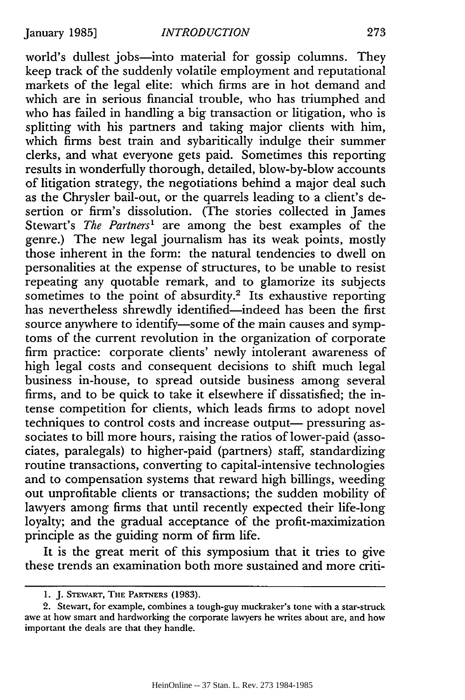world's dullest jobs-into material for gossip columns. They keep track of the suddenly volatile employment and reputational markets of the legal elite: which firms are in hot demand and which are in serious financial trouble, who has triumphed and who has failed in handling a big transaction or litigation, who is splitting with his partners and taking major clients with him, which firms best train and sybaritically indulge their summer clerks, and what everyone gets paid. Sometimes this reporting results in wonderfully thorough, detailed, blow-by-blow accounts of litigation strategy, the negotiations behind a major deal such as the Chrysler bail-out, or the quarrels leading to a client's desertion or firm's dissolution. (The stories collected in James Stewart's *The Partners'* are among the best examples of the genre.) The new legal journalism has its weak points, mostly those inherent in the form: the natural tendencies to dwell on personalities at the expense of structures, to be unable to resist repeating any quotable remark, and to glamorize its subjects sometimes to the point of absurdity.<sup>2</sup> Its exhaustive reporting has nevertheless shrewdly identified-indeed has been the first source anywhere to identify-some of the main causes and symptoms of the current revolution in the organization of corporate firm practice: corporate clients' newly intolerant awareness of high legal costs and consequent decisions to shift much legal business in-house, to spread outside business among several firms, and to be quick to take it elsewhere if dissatisfied; the intense competition for clients, which leads firms to adopt novel techniques to control costs and increase output- pressuring associates to bill more hours, raising the ratios of lower-paid (associates, paralegals) to higher-paid (partners) staff, standardizing routine transactions, converting to capital-intensive technologies and to compensation systems that reward high billings, weeding out unprofitable clients or transactions; the sudden mobility of lawyers among firms that until recently expected their life-long loyalty; and the gradual acceptance of the profit-maximization principle as the guiding norm of firm life.

It is the great merit of this symposium that it tries to give these trends an examination both more sustained and more criti-

**<sup>1.</sup> J.** STEWART, **THE** PARTNERS (1983).

<sup>2.</sup> Stewart, for example, combines a tough-guy muckraker's tone with a star-struck awe at how smart and hardworking the corporate lawyers he writes about are, and how important the deals are that they handle.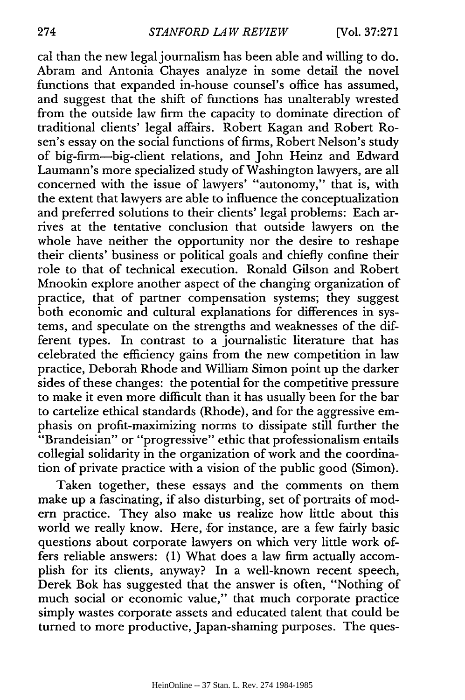cal than the new legal journalism has been able and willing to do. Abram and Antonia Chayes analyze in some detail the novel functions that expanded in-house counsel's office has assumed, and suggest that the shift of functions has unalterably wrested from the outside law firm the capacity to dominate direction of traditional clients' legal affairs. Robert Kagan and Robert Rosen's essay on the social functions of firms, Robert Nelson's study of big-firm-big-client relations, and John Heinz and Edward Laumann's more specialized study of Washington lawyers, are all concerned with the issue of lawyers' "autonomy," that is, with the extent that lawyers are able to influence the conceptualization and preferred solutions to their clients' legal problems: Each arrives at the tentative conclusion that outside lawyers on the whole have neither the opportunity nor the desire to reshape their clients' business or political goals and chiefly confine their role to that of technical execution. Ronald Gilson and Robert Mnookin explore another aspect of the changing organization of practice, that of partner compensation systems; they suggest both economic and cultural explanations for differences in systems, and speculate on the strengths and weaknesses of the different types. In contrast to a journalistic literature that has celebrated the efficiency gains from the new competition in law practice, Deborah Rhode and William Simon point up the darker sides of these changes: the potential for the competitive pressure to make it even more difficult than it has usually been for the bar to cartelize ethical standards (Rhode), and for the aggressive emphasis on profit-maximizing norms to dissipate still further the "Brandeisian" or "progressive" ethic that professionalism entails collegial solidarity in the organization of work and the coordination of private practice with a vision of the public good (Simon).

Taken together, these essays and the comments on them make up a fascinating, if also disturbing, set of portraits of modem practice. They also make us realize how little about this world we really know. Here, for instance, are a few fairly basic questions about corporate lawyers on which very little work offers reliable answers: (1) What does a law firm actually accomplish for its clients, anyway? In a well-known recent speech, Derek Bok has suggested that the answer is often, "Nothing of much social or economic value," that much corporate practice simply wastes corporate assets and educated talent that could be turned to more productive, Japan-shaming purposes. The ques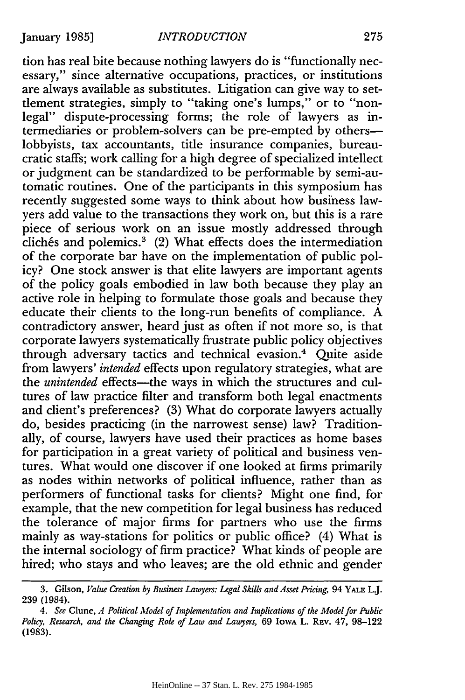tion has real bite because nothing lawyers do is "functionally necessary," since alternative occupations, practices, or institutions are always available as substitutes. Litigation can give way to settlement strategies, simply to "taking one's lumps," or to "nonlegal" dispute-processing forms; the role of lawyers as intermediaries or problem-solvers can be pre-empted by otherslobbyists, tax accountants, title insurance companies, bureaucratic staffs; work calling for a high degree of specialized intellect or judgment can be standardized to be performable by semi-automatic routines. One of the participants in this symposium has recently suggested some ways to think about how business lawyers add value to the transactions they work on, but this is a rare piece of serious work on an issue mostly addressed through clichés and polemics. $3$  (2) What effects does the intermediation of the corporate bar have on the implementation of public policy? One stock answer is that elite lawyers are important agents of the policy goals embodied in law both because they play an active role in helping to formulate those goals and because they educate their clients to the long-run benefits of compliance. A contradictory answer, heard just as often if not more so, is that corporate lawyers systematically frustrate public policy objectives through adversary tactics and technical evasion.4 Quite aside from lawyers' *intended* effects upon regulatory strategies, what are the *unintended* effects-the ways in which the structures and cultures of law practice filter and transform both legal enactments and client's preferences? (3) What do corporate lawyers actually do, besides practicing (in the narrowest sense) law? Traditionally, of course, lawyers have used their practices as home bases for participation in a great variety of political and business ventures. What would one discover if one looked at firms primarily as nodes within networks of political influence, rather than as performers of functional tasks for clients? Might one find, for example, that the new competition for legal business has reduced the tolerance of major firms for partners who use the firms mainly as way-stations for politics or public office? (4) What is the internal sociology of firm practice? What kinds of people are hired; who stays and who leaves; are the old ethnic and gender

**<sup>3.</sup>** Gilson, *Value Creation by Business Lawyers: Legal Skills and Asset Pricing,* 94 **YALE** L.J. 239 (1984).

*<sup>4.</sup> See* Clune, *A Political Model of Implementation and Implications of the Model for Public Policy, Research, and the Changing Role of Law and Lawyers,* 69 **IoWA** L. REv. 47, 98-122 (1983).